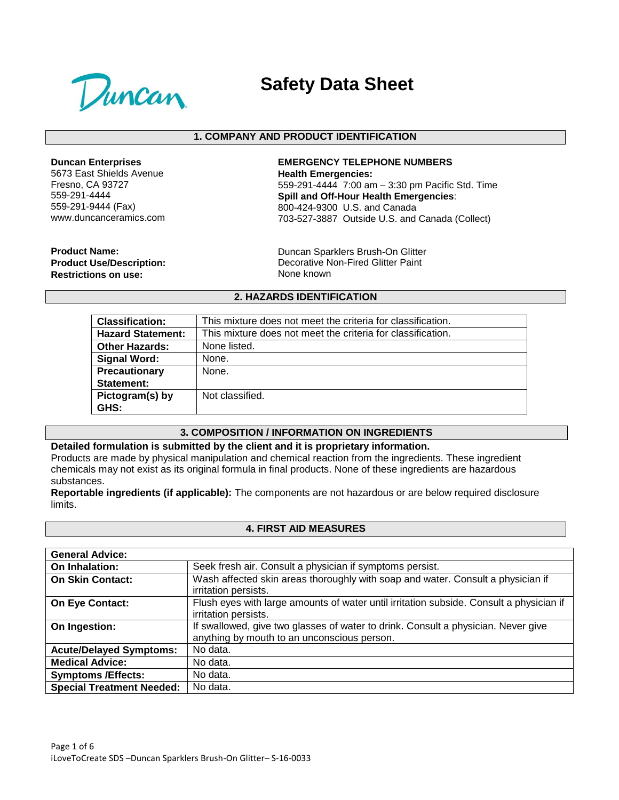

# **Safety Data Sheet**

## **1. COMPANY AND PRODUCT IDENTIFICATION**

**Duncan Enterprises**

5673 East Shields Avenue Fresno, CA 93727 559-291-4444 559-291-9444 (Fax) www.duncanceramics.com

**EMERGENCY TELEPHONE NUMBERS Health Emergencies:** 559-291-4444 7:00 am – 3:30 pm Pacific Std. Time **Spill and Off-Hour Health Emergencies**: 800-424-9300 U.S. and Canada 703-527-3887 Outside U.S. and Canada (Collect)

**Product Name: Product Use/Description: Restrictions on use:**

Duncan Sparklers Brush-On Glitter Decorative Non-Fired Glitter Paint None known

### **2. HAZARDS IDENTIFICATION**

| <b>Classification:</b>   | This mixture does not meet the criteria for classification. |
|--------------------------|-------------------------------------------------------------|
| <b>Hazard Statement:</b> | This mixture does not meet the criteria for classification. |
| <b>Other Hazards:</b>    | None listed.                                                |
| <b>Signal Word:</b>      | None.                                                       |
| Precautionary            | None.                                                       |
| Statement:               |                                                             |
| Pictogram(s) by          | Not classified.                                             |
| GHS:                     |                                                             |

#### **3. COMPOSITION / INFORMATION ON INGREDIENTS**

## **Detailed formulation is submitted by the client and it is proprietary information.** Products are made by physical manipulation and chemical reaction from the ingredients. These ingredient

chemicals may not exist as its original formula in final products. None of these ingredients are hazardous substances.

**Reportable ingredients (if applicable):** The components are not hazardous or are below required disclosure limits.

#### **4. FIRST AID MEASURES**

| <b>General Advice:</b>           |                                                                                         |
|----------------------------------|-----------------------------------------------------------------------------------------|
| On Inhalation:                   | Seek fresh air. Consult a physician if symptoms persist.                                |
| <b>On Skin Contact:</b>          | Wash affected skin areas thoroughly with soap and water. Consult a physician if         |
|                                  | irritation persists.                                                                    |
| On Eye Contact:                  | Flush eyes with large amounts of water until irritation subside. Consult a physician if |
|                                  | irritation persists.                                                                    |
| On Ingestion:                    | If swallowed, give two glasses of water to drink. Consult a physician. Never give       |
|                                  | anything by mouth to an unconscious person.                                             |
| <b>Acute/Delayed Symptoms:</b>   | No data.                                                                                |
| <b>Medical Advice:</b>           | No data.                                                                                |
| <b>Symptoms /Effects:</b>        | No data.                                                                                |
| <b>Special Treatment Needed:</b> | No data.                                                                                |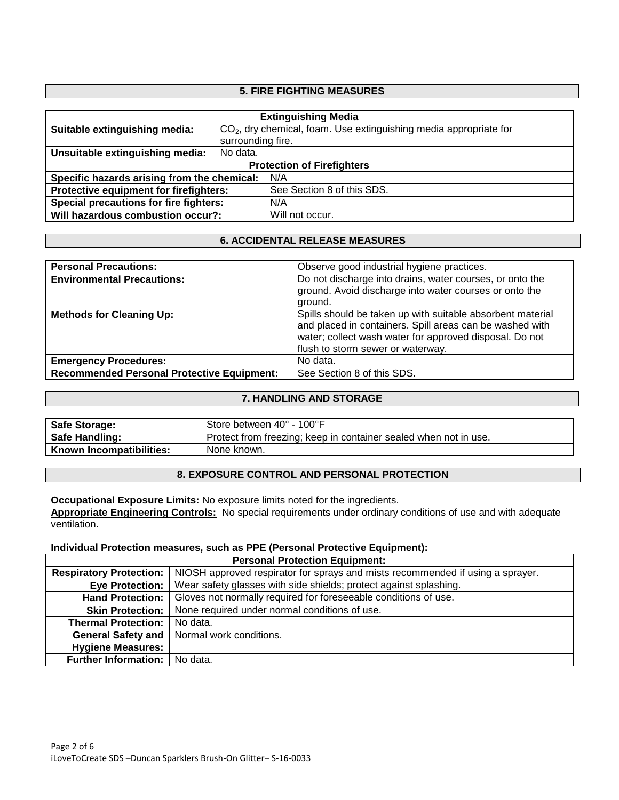## **5. FIRE FIGHTING MEASURES**

| <b>Extinguishing Media</b>                  |                                                                     |                            |
|---------------------------------------------|---------------------------------------------------------------------|----------------------------|
| Suitable extinguishing media:               | $CO2$ , dry chemical, foam. Use extinguishing media appropriate for |                            |
|                                             | surrounding fire.                                                   |                            |
| Unsuitable extinguishing media:             | No data.                                                            |                            |
| <b>Protection of Firefighters</b>           |                                                                     |                            |
| Specific hazards arising from the chemical: |                                                                     | N/A                        |
| Protective equipment for firefighters:      |                                                                     | See Section 8 of this SDS. |
| Special precautions for fire fighters:      |                                                                     | N/A                        |
| Will hazardous combustion occur?:           |                                                                     | Will not occur.            |

# **6. ACCIDENTAL RELEASE MEASURES**

| <b>Personal Precautions:</b>                      | Observe good industrial hygiene practices.                                                                                                                                                                             |
|---------------------------------------------------|------------------------------------------------------------------------------------------------------------------------------------------------------------------------------------------------------------------------|
| <b>Environmental Precautions:</b>                 | Do not discharge into drains, water courses, or onto the<br>ground. Avoid discharge into water courses or onto the<br>around.                                                                                          |
| <b>Methods for Cleaning Up:</b>                   | Spills should be taken up with suitable absorbent material<br>and placed in containers. Spill areas can be washed with<br>water; collect wash water for approved disposal. Do not<br>flush to storm sewer or waterway. |
| <b>Emergency Procedures:</b>                      | No data.                                                                                                                                                                                                               |
| <b>Recommended Personal Protective Equipment:</b> | See Section 8 of this SDS.                                                                                                                                                                                             |

#### **7. HANDLING AND STORAGE**

| <b>Safe Storage:</b>     | Store between 40° - 100°F                                        |
|--------------------------|------------------------------------------------------------------|
| <b>Safe Handling:</b>    | Protect from freezing; keep in container sealed when not in use. |
| Known Incompatibilities: | None known.                                                      |

## **8. EXPOSURE CONTROL AND PERSONAL PROTECTION**

**Occupational Exposure Limits:** No exposure limits noted for the ingredients. **Appropriate Engineering Controls:** No special requirements under ordinary conditions of use and with adequate ventilation.

#### **Individual Protection measures, such as PPE (Personal Protective Equipment):**

| <b>Personal Protection Equipment:</b> |                                                                                |  |
|---------------------------------------|--------------------------------------------------------------------------------|--|
| <b>Respiratory Protection:</b>        | NIOSH approved respirator for sprays and mists recommended if using a sprayer. |  |
| <b>Eye Protection:</b>                | Wear safety glasses with side shields; protect against splashing.              |  |
| <b>Hand Protection:</b>               | Gloves not normally required for foreseeable conditions of use.                |  |
| <b>Skin Protection:</b>               | None required under normal conditions of use.                                  |  |
| <b>Thermal Protection:</b>            | No data.                                                                       |  |
| <b>General Safety and</b>             | Normal work conditions.                                                        |  |
| <b>Hygiene Measures:</b>              |                                                                                |  |
| <b>Further Information:</b>           | No data.                                                                       |  |

Ē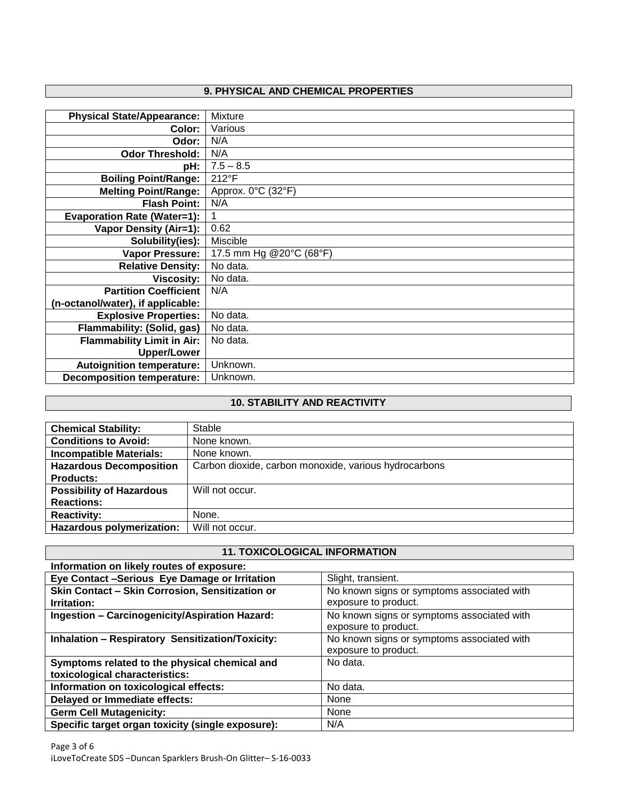# **9. PHYSICAL AND CHEMICAL PROPERTIES**

| Mixture                 |
|-------------------------|
| Various                 |
| N/A                     |
| N/A                     |
| $7.5 - 8.5$             |
| 212°F                   |
| Approx. 0°C (32°F)      |
| N/A                     |
|                         |
| 0.62                    |
| Miscible                |
| 17.5 mm Hg @20°C (68°F) |
| No data.                |
| No data.                |
| N/A                     |
|                         |
| No data.                |
| No data.                |
| No data.                |
|                         |
| Unknown.                |
| Unknown.                |
|                         |

# **10. STABILITY AND REACTIVITY**

| <b>Chemical Stability:</b>       | Stable                                                |
|----------------------------------|-------------------------------------------------------|
| <b>Conditions to Avoid:</b>      | None known.                                           |
| <b>Incompatible Materials:</b>   | None known.                                           |
| <b>Hazardous Decomposition</b>   | Carbon dioxide, carbon monoxide, various hydrocarbons |
| <b>Products:</b>                 |                                                       |
| <b>Possibility of Hazardous</b>  | Will not occur.                                       |
| <b>Reactions:</b>                |                                                       |
| <b>Reactivity:</b>               | None.                                                 |
| <b>Hazardous polymerization:</b> | Will not occur.                                       |

# **11. TOXICOLOGICAL INFORMATION**

| Information on likely routes of exposure:                                       |                                                                    |
|---------------------------------------------------------------------------------|--------------------------------------------------------------------|
| Eye Contact -Serious Eye Damage or Irritation                                   | Slight, transient.                                                 |
| Skin Contact - Skin Corrosion, Sensitization or<br>Irritation:                  | No known signs or symptoms associated with<br>exposure to product. |
| <b>Ingestion - Carcinogenicity/Aspiration Hazard:</b>                           | No known signs or symptoms associated with<br>exposure to product. |
| <b>Inhalation - Respiratory Sensitization/Toxicity:</b>                         | No known signs or symptoms associated with<br>exposure to product. |
| Symptoms related to the physical chemical and<br>toxicological characteristics: | No data.                                                           |
| Information on toxicological effects:                                           | No data.                                                           |
| Delayed or Immediate effects:                                                   | None                                                               |
| <b>Germ Cell Mutagenicity:</b>                                                  | None                                                               |
| Specific target organ toxicity (single exposure):                               | N/A                                                                |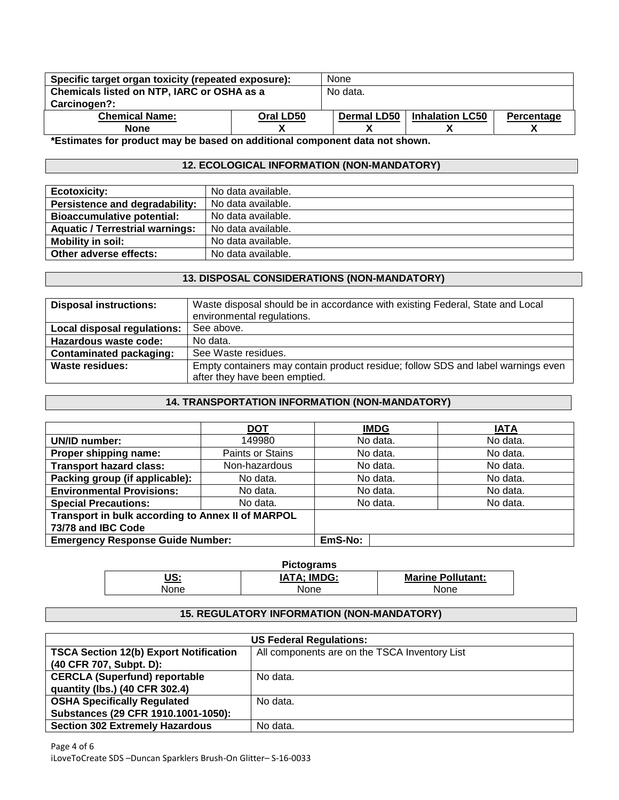| Specific target organ toxicity (repeated exposure): | None      |             |                        |            |
|-----------------------------------------------------|-----------|-------------|------------------------|------------|
| Chemicals listed on NTP, IARC or OSHA as a          | No data.  |             |                        |            |
| Carcinogen?:                                        |           |             |                        |            |
| <b>Chemical Name:</b>                               | Oral LD50 | Dermal LD50 | <b>Inhalation LC50</b> | Percentage |
| <b>None</b>                                         |           |             |                        |            |

**\*Estimates for product may be based on additional component data not shown.**

# **12. ECOLOGICAL INFORMATION (NON-MANDATORY)**

| <b>Ecotoxicity:</b>                    | No data available. |
|----------------------------------------|--------------------|
| Persistence and degradability:         | No data available. |
| <b>Bioaccumulative potential:</b>      | No data available. |
| <b>Aquatic / Terrestrial warnings:</b> | No data available. |
| <b>Mobility in soil:</b>               | No data available. |
| Other adverse effects:                 | No data available. |

## **13. DISPOSAL CONSIDERATIONS (NON-MANDATORY)**

| <b>Disposal instructions:</b> | Waste disposal should be in accordance with existing Federal, State and Local                                     |
|-------------------------------|-------------------------------------------------------------------------------------------------------------------|
|                               | environmental regulations.                                                                                        |
| Local disposal regulations:   | See above.                                                                                                        |
| Hazardous waste code:         | No data.                                                                                                          |
| Contaminated packaging:       | See Waste residues.                                                                                               |
| <b>Waste residues:</b>        | Empty containers may contain product residue; follow SDS and label warnings even<br>after they have been emptied. |

# **14. TRANSPORTATION INFORMATION (NON-MANDATORY)**

|                                                   | <b>DOT</b>       | <b>IMDG</b> | <b>IATA</b> |
|---------------------------------------------------|------------------|-------------|-------------|
| 149980<br>UN/ID number:                           |                  | No data.    | No data.    |
| Proper shipping name:                             | Paints or Stains | No data.    | No data.    |
| <b>Transport hazard class:</b>                    | Non-hazardous    | No data.    | No data.    |
| Packing group (if applicable):                    | No data.         | No data.    | No data.    |
| <b>Environmental Provisions:</b>                  | No data.         | No data.    | No data.    |
| <b>Special Precautions:</b>                       | No data.         | No data.    | No data.    |
| Transport in bulk according to Annex II of MARPOL |                  |             |             |
| 73/78 and IBC Code                                |                  |             |             |
| <b>Emergency Response Guide Number:</b>           |                  | EmS-No:     |             |

| <b>Pictograms</b> |                    |                          |  |  |
|-------------------|--------------------|--------------------------|--|--|
| <u>US:</u>        | <b>IATA: IMDG:</b> | <b>Marine Pollutant:</b> |  |  |
| None              | None               | None                     |  |  |

# **15. REGULATORY INFORMATION (NON-MANDATORY)**

| <b>US Federal Regulations:</b>                |                                               |  |  |
|-----------------------------------------------|-----------------------------------------------|--|--|
| <b>TSCA Section 12(b) Export Notification</b> | All components are on the TSCA Inventory List |  |  |
| (40 CFR 707, Subpt. D):                       |                                               |  |  |
| <b>CERCLA (Superfund) reportable</b>          | No data.                                      |  |  |
| quantity (lbs.) (40 CFR 302.4)                |                                               |  |  |
| <b>OSHA Specifically Regulated</b>            | No data.                                      |  |  |
| Substances (29 CFR 1910.1001-1050):           |                                               |  |  |
| <b>Section 302 Extremely Hazardous</b>        | No data.                                      |  |  |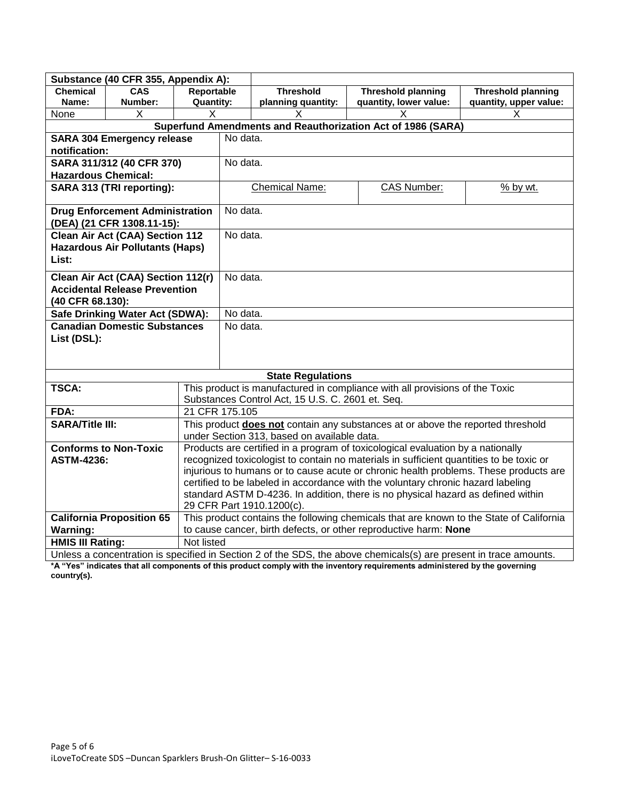| Substance (40 CFR 355, Appendix A):                                        |                                                                                                                   |                                                                                                               |                                                                             |                                                  |                                                             |                           |  |
|----------------------------------------------------------------------------|-------------------------------------------------------------------------------------------------------------------|---------------------------------------------------------------------------------------------------------------|-----------------------------------------------------------------------------|--------------------------------------------------|-------------------------------------------------------------|---------------------------|--|
| <b>Chemical</b><br><b>CAS</b>                                              |                                                                                                                   | Reportable                                                                                                    |                                                                             | <b>Threshold</b>                                 | <b>Threshold planning</b>                                   | <b>Threshold planning</b> |  |
| Name:<br>Number:                                                           |                                                                                                                   | <b>Quantity:</b>                                                                                              |                                                                             | planning quantity:                               | quantity, lower value:                                      | quantity, upper value:    |  |
| None<br>Χ                                                                  |                                                                                                                   | х                                                                                                             |                                                                             | X                                                | х                                                           | X                         |  |
|                                                                            |                                                                                                                   |                                                                                                               |                                                                             |                                                  | Superfund Amendments and Reauthorization Act of 1986 (SARA) |                           |  |
| <b>SARA 304 Emergency release</b>                                          |                                                                                                                   |                                                                                                               | No data.                                                                    |                                                  |                                                             |                           |  |
| notification:                                                              |                                                                                                                   |                                                                                                               |                                                                             |                                                  |                                                             |                           |  |
| SARA 311/312 (40 CFR 370)                                                  |                                                                                                                   |                                                                                                               | No data.                                                                    |                                                  |                                                             |                           |  |
| <b>Hazardous Chemical:</b>                                                 |                                                                                                                   |                                                                                                               |                                                                             |                                                  |                                                             |                           |  |
| SARA 313 (TRI reporting):                                                  |                                                                                                                   |                                                                                                               | <b>Chemical Name:</b>                                                       | <b>CAS Number:</b>                               | % by wt.                                                    |                           |  |
| <b>Drug Enforcement Administration</b><br>(DEA) (21 CFR 1308.11-15):       |                                                                                                                   |                                                                                                               | No data.                                                                    |                                                  |                                                             |                           |  |
| <b>Clean Air Act (CAA) Section 112</b>                                     |                                                                                                                   |                                                                                                               | No data.                                                                    |                                                  |                                                             |                           |  |
| <b>Hazardous Air Pollutants (Haps)</b>                                     |                                                                                                                   |                                                                                                               |                                                                             |                                                  |                                                             |                           |  |
| List:                                                                      |                                                                                                                   |                                                                                                               |                                                                             |                                                  |                                                             |                           |  |
|                                                                            |                                                                                                                   |                                                                                                               | No data.                                                                    |                                                  |                                                             |                           |  |
| Clean Air Act (CAA) Section 112(r)<br><b>Accidental Release Prevention</b> |                                                                                                                   |                                                                                                               |                                                                             |                                                  |                                                             |                           |  |
| (40 CFR 68.130):                                                           |                                                                                                                   |                                                                                                               |                                                                             |                                                  |                                                             |                           |  |
| Safe Drinking Water Act (SDWA):                                            |                                                                                                                   |                                                                                                               | No data.                                                                    |                                                  |                                                             |                           |  |
| <b>Canadian Domestic Substances</b>                                        |                                                                                                                   | No data.                                                                                                      |                                                                             |                                                  |                                                             |                           |  |
| List (DSL):                                                                |                                                                                                                   |                                                                                                               |                                                                             |                                                  |                                                             |                           |  |
|                                                                            |                                                                                                                   |                                                                                                               |                                                                             |                                                  |                                                             |                           |  |
|                                                                            |                                                                                                                   |                                                                                                               |                                                                             |                                                  |                                                             |                           |  |
|                                                                            |                                                                                                                   |                                                                                                               |                                                                             | <b>State Regulations</b>                         |                                                             |                           |  |
| <b>TSCA:</b>                                                               |                                                                                                                   |                                                                                                               | This product is manufactured in compliance with all provisions of the Toxic |                                                  |                                                             |                           |  |
|                                                                            |                                                                                                                   |                                                                                                               |                                                                             | Substances Control Act, 15 U.S. C. 2601 et. Seq. |                                                             |                           |  |
| FDA:                                                                       |                                                                                                                   | 21 CFR 175.105                                                                                                |                                                                             |                                                  |                                                             |                           |  |
| <b>SARA/Title III:</b>                                                     |                                                                                                                   | This product does not contain any substances at or above the reported threshold                               |                                                                             |                                                  |                                                             |                           |  |
|                                                                            |                                                                                                                   | under Section 313, based on available data.                                                                   |                                                                             |                                                  |                                                             |                           |  |
| <b>Conforms to Non-Toxic</b>                                               |                                                                                                                   | Products are certified in a program of toxicological evaluation by a nationally                               |                                                                             |                                                  |                                                             |                           |  |
| <b>ASTM-4236:</b>                                                          |                                                                                                                   | recognized toxicologist to contain no materials in sufficient quantities to be toxic or                       |                                                                             |                                                  |                                                             |                           |  |
|                                                                            |                                                                                                                   | injurious to humans or to cause acute or chronic health problems. These products are                          |                                                                             |                                                  |                                                             |                           |  |
|                                                                            |                                                                                                                   | certified to be labeled in accordance with the voluntary chronic hazard labeling                              |                                                                             |                                                  |                                                             |                           |  |
|                                                                            |                                                                                                                   | standard ASTM D-4236. In addition, there is no physical hazard as defined within<br>29 CFR Part 1910.1200(c). |                                                                             |                                                  |                                                             |                           |  |
| <b>California Proposition 65</b>                                           |                                                                                                                   | This product contains the following chemicals that are known to the State of California                       |                                                                             |                                                  |                                                             |                           |  |
| <b>Warning:</b>                                                            |                                                                                                                   | to cause cancer, birth defects, or other reproductive harm: None                                              |                                                                             |                                                  |                                                             |                           |  |
| <b>HMIS III Rating:</b>                                                    |                                                                                                                   | Not listed                                                                                                    |                                                                             |                                                  |                                                             |                           |  |
|                                                                            | Unless a concentration is specified in Section 2 of the SDS, the above chemicals(s) are present in trace amounts. |                                                                                                               |                                                                             |                                                  |                                                             |                           |  |

**\*A "Yes" indicates that all components of this product comply with the inventory requirements administered by the governing country(s).**